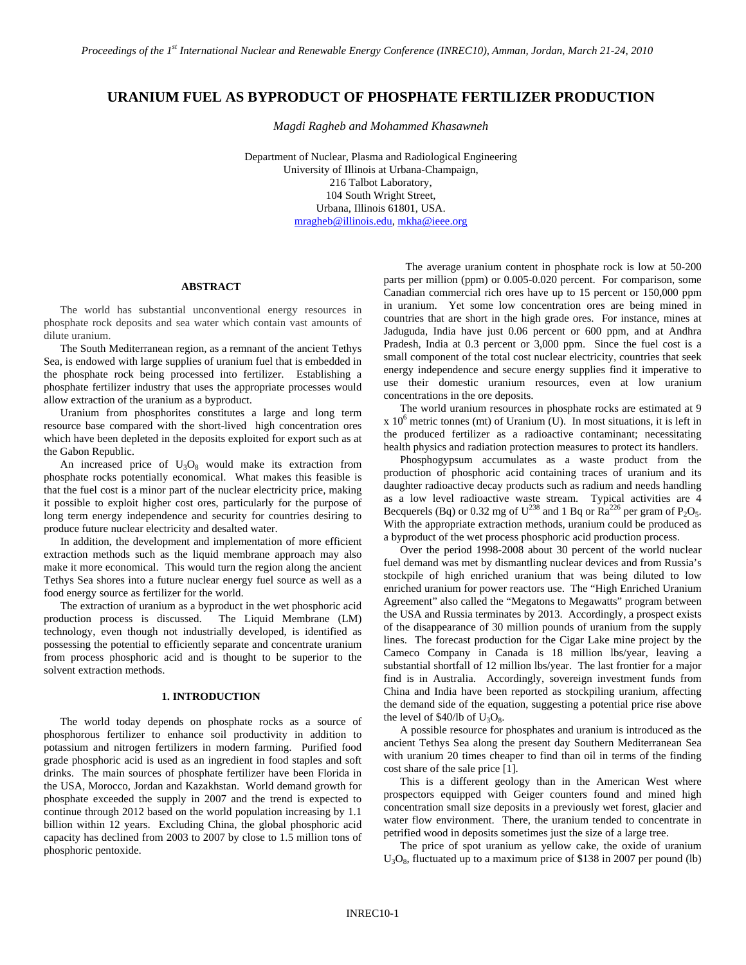# **URANIUM FUEL AS BYPRODUCT OF PHOSPHATE FERTILIZER PRODUCTION**

*Magdi Ragheb and Mohammed Khasawneh*

Department of Nuclear, Plasma and Radiological Engineering University of Illinois at Urbana-Champaign, 216 Talbot Laboratory, 104 South Wright Street, Urbana, Illinois 61801, USA. [mragheb@illinois.edu,](mailto:mragheb@illinois.edu) [mkha@ieee.org](mailto:mkha@ieee.org)

### **ABSTRACT**

The world has substantial unconventional energy resources in phosphate rock deposits and sea water which contain vast amounts of dilute uranium.

The South Mediterranean region, as a remnant of the ancient Tethys Sea, is endowed with large supplies of uranium fuel that is embedded in the phosphate rock being processed into fertilizer. Establishing a phosphate fertilizer industry that uses the appropriate processes would allow extraction of the uranium as a byproduct.

Uranium from phosphorites constitutes a large and long term resource base compared with the short-lived high concentration ores which have been depleted in the deposits exploited for export such as at the Gabon Republic.

An increased price of  $U_3O_8$  would make its extraction from phosphate rocks potentially economical. What makes this feasible is that the fuel cost is a minor part of the nuclear electricity price, making it possible to exploit higher cost ores, particularly for the purpose of long term energy independence and security for countries desiring to produce future nuclear electricity and desalted water.

In addition, the development and implementation of more efficient extraction methods such as the liquid membrane approach may also make it more economical. This would turn the region along the ancient Tethys Sea shores into a future nuclear energy fuel source as well as a food energy source as fertilizer for the world.

The extraction of uranium as a byproduct in the wet phosphoric acid production process is discussed. The Liquid Membrane (LM) technology, even though not industrially developed, is identified as possessing the potential to efficiently separate and concentrate uranium from process phosphoric acid and is thought to be superior to the solvent extraction methods.

## **1. INTRODUCTION**

The world today depends on phosphate rocks as a source of phosphorous fertilizer to enhance soil productivity in addition to potassium and nitrogen fertilizers in modern farming. Purified food grade phosphoric acid is used as an ingredient in food staples and soft drinks. The main sources of phosphate fertilizer have been Florida in the USA, Morocco, Jordan and Kazakhstan. World demand growth for phosphate exceeded the supply in 2007 and the trend is expected to continue through 2012 based on the world population increasing by 1.1 billion within 12 years. Excluding China, the global phosphoric acid capacity has declined from 2003 to 2007 by close to 1.5 million tons of phosphoric pentoxide.

The average uranium content in phosphate rock is low at 50-200 parts per million (ppm) or 0.005-0.020 percent. For comparison, some Canadian commercial rich ores have up to 15 percent or 150,000 ppm in uranium. Yet some low concentration ores are being mined in countries that are short in the high grade ores. For instance, mines at Jaduguda, India have just 0.06 percent or 600 ppm, and at Andhra Pradesh, India at 0.3 percent or 3,000 ppm. Since the fuel cost is a small component of the total cost nuclear electricity, countries that seek energy independence and secure energy supplies find it imperative to use their domestic uranium resources, even at low uranium concentrations in the ore deposits.

The world uranium resources in phosphate rocks are estimated at 9  $x 10<sup>6</sup>$  metric tonnes (mt) of Uranium (U). In most situations, it is left in the produced fertilizer as a radioactive contaminant; necessitating health physics and radiation protection measures to protect its handlers.

Phosphogypsum accumulates as a waste product from the production of phosphoric acid containing traces of uranium and its daughter radioactive decay products such as radium and needs handling as a low level radioactive waste stream. Typical activities are 4 Becquerels (Bq) or 0.32 mg of  $U^{238}$  and 1 Bq or Ra<sup>226</sup> per gram of P<sub>2</sub>O<sub>5</sub>. With the appropriate extraction methods, uranium could be produced as a byproduct of the wet process phosphoric acid production process.

Over the period 1998-2008 about 30 percent of the world nuclear fuel demand was met by dismantling nuclear devices and from Russia's stockpile of high enriched uranium that was being diluted to low enriched uranium for power reactors use. The "High Enriched Uranium Agreement" also called the "Megatons to Megawatts" program between the USA and Russia terminates by 2013. Accordingly, a prospect exists of the disappearance of 30 million pounds of uranium from the supply lines. The forecast production for the Cigar Lake mine project by the Cameco Company in Canada is 18 million lbs/year, leaving a substantial shortfall of 12 million lbs/year. The last frontier for a major find is in Australia. Accordingly, sovereign investment funds from China and India have been reported as stockpiling uranium, affecting the demand side of the equation, suggesting a potential price rise above the level of  $$40/lb$  of  $U_3O_8$ .

A possible resource for phosphates and uranium is introduced as the ancient Tethys Sea along the present day Southern Mediterranean Sea with uranium 20 times cheaper to find than oil in terms of the finding cost share of the sale price [1].

This is a different geology than in the American West where prospectors equipped with Geiger counters found and mined high concentration small size deposits in a previously wet forest, glacier and water flow environment. There, the uranium tended to concentrate in petrified wood in deposits sometimes just the size of a large tree.

The price of spot uranium as yellow cake, the oxide of uranium  $U_3O_8$ , fluctuated up to a maximum price of \$138 in 2007 per pound (lb)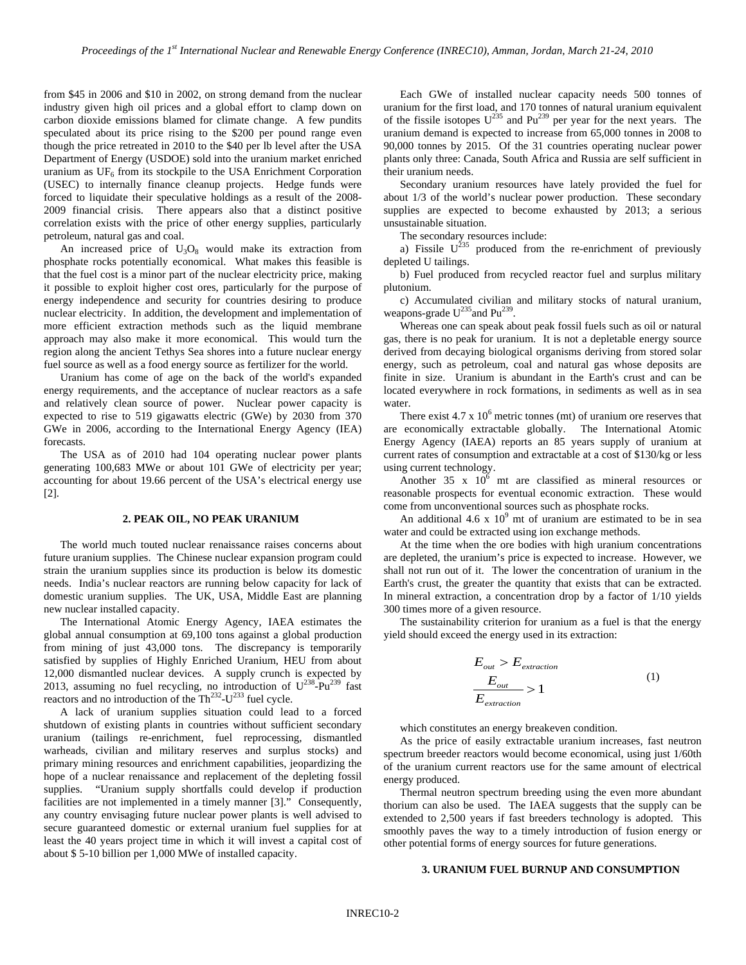from \$45 in 2006 and \$10 in 2002, on strong demand from the nuclear industry given high oil prices and a global effort to clamp down on carbon dioxide emissions blamed for climate change. A few pundits speculated about its price rising to the \$200 per pound range even though the price retreated in 2010 to the \$40 per lb level after the USA Department of Energy (USDOE) sold into the uranium market enriched uranium as  $UF_6$  from its stockpile to the USA Enrichment Corporation (USEC) to internally finance cleanup projects. Hedge funds were forced to liquidate their speculative holdings as a result of the 2008- 2009 financial crisis. There appears also that a distinct positive correlation exists with the price of other energy supplies, particularly petroleum, natural gas and coal.

An increased price of  $U_3O_8$  would make its extraction from phosphate rocks potentially economical. What makes this feasible is that the fuel cost is a minor part of the nuclear electricity price, making it possible to exploit higher cost ores, particularly for the purpose of energy independence and security for countries desiring to produce nuclear electricity. In addition, the development and implementation of more efficient extraction methods such as the liquid membrane approach may also make it more economical. This would turn the region along the ancient Tethys Sea shores into a future nuclear energy fuel source as well as a food energy source as fertilizer for the world.

Uranium has come of age on the back of the world's expanded energy requirements, and the acceptance of nuclear reactors as a safe and relatively clean source of power. Nuclear power capacity is expected to rise to 519 gigawatts electric (GWe) by 2030 from 370 GWe in 2006, according to the International Energy Agency (IEA) forecasts.

The USA as of 2010 had 104 operating nuclear power plants generating 100,683 MWe or about 101 GWe of electricity per year; accounting for about 19.66 percent of the USA's electrical energy use [2].

#### **2. PEAK OIL, NO PEAK URANIUM**

The world much touted nuclear renaissance raises concerns about future uranium supplies. The Chinese nuclear expansion program could strain the uranium supplies since its production is below its domestic needs. India's nuclear reactors are running below capacity for lack of domestic uranium supplies. The UK, USA, Middle East are planning new nuclear installed capacity.

The International Atomic Energy Agency, IAEA estimates the global annual consumption at 69,100 tons against a global production from mining of just 43,000 tons. The discrepancy is temporarily satisfied by supplies of Highly Enriched Uranium, HEU from about 12,000 dismantled nuclear devices. A supply crunch is expected by 2013, assuming no fuel recycling, no introduction of  $U^{238}$ -Pu<sup>239</sup> fast reactors and no introduction of the  $Th<sup>232</sup>-U<sup>233</sup>$  fuel cycle.

A lack of uranium supplies situation could lead to a forced shutdown of existing plants in countries without sufficient secondary uranium (tailings re-enrichment, fuel reprocessing, dismantled warheads, civilian and military reserves and surplus stocks) and primary mining resources and enrichment capabilities, jeopardizing the hope of a nuclear renaissance and replacement of the depleting fossil supplies. "Uranium supply shortfalls could develop if production facilities are not implemented in a timely manner [3]." Consequently, any country envisaging future nuclear power plants is well advised to secure guaranteed domestic or external uranium fuel supplies for at least the 40 years project time in which it will invest a capital cost of about \$ 5-10 billion per 1,000 MWe of installed capacity.

Each GWe of installed nuclear capacity needs 500 tonnes of uranium for the first load, and 170 tonnes of natural uranium equivalent of the fissile isotopes  $U^{235}$  and  $Pu^{239}$  per year for the next years. The uranium demand is expected to increase from 65,000 tonnes in 2008 to 90,000 tonnes by 2015. Of the 31 countries operating nuclear power plants only three: Canada, South Africa and Russia are self sufficient in their uranium needs.

Secondary uranium resources have lately provided the fuel for about 1/3 of the world's nuclear power production. These secondary supplies are expected to become exhausted by 2013; a serious unsustainable situation.

The secondary resources include:

a) Fissile  $U^{235}$  produced from the re-enrichment of previously depleted U tailings.

b) Fuel produced from recycled reactor fuel and surplus military plutonium.

c) Accumulated civilian and military stocks of natural uranium, weapons-grade  $U^{235}$  and Pu<sup>239</sup>.

Whereas one can speak about peak fossil fuels such as oil or natural gas, there is no peak for uranium. It is not a depletable energy source derived from decaying biological organisms deriving from stored solar energy, such as petroleum, coal and natural gas whose deposits are finite in size. Uranium is abundant in the Earth's crust and can be located everywhere in rock formations, in sediments as well as in sea water.

There exist  $4.7 \times 10^6$  metric tonnes (mt) of uranium ore reserves that are economically extractable globally. The International Atomic Energy Agency (IAEA) reports an 85 years supply of uranium at current rates of consumption and extractable at a cost of \$130/kg or less using current technology.

Another  $35 \times 10^6$  mt are classified as mineral resources or reasonable prospects for eventual economic extraction. These would come from unconventional sources such as phosphate rocks.

An additional 4.6 x  $10^9$  mt of uranium are estimated to be in sea water and could be extracted using ion exchange methods.

At the time when the ore bodies with high uranium concentrations are depleted, the uranium's price is expected to increase. However, we shall not run out of it. The lower the concentration of uranium in the Earth's crust, the greater the quantity that exists that can be extracted. In mineral extraction, a concentration drop by a factor of 1/10 yields 300 times more of a given resource.

The sustainability criterion for uranium as a fuel is that the energy yield should exceed the energy used in its extraction:

$$
E_{out} > E_{extraction}
$$
\n
$$
\frac{E_{out}}{E_{extraction}}
$$
\n(1)

which constitutes an energy breakeven condition.

As the price of easily extractable uranium increases, fast neutron spectrum breeder reactors would become economical, using just 1/60th of the uranium current reactors use for the same amount of electrical energy produced.

Thermal neutron spectrum breeding using the even more abundant thorium can also be used. The IAEA suggests that the supply can be extended to 2,500 years if fast breeders technology is adopted. This smoothly paves the way to a timely introduction of fusion energy or other potential forms of energy sources for future generations.

#### **3. URANIUM FUEL BURNUP AND CONSUMPTION**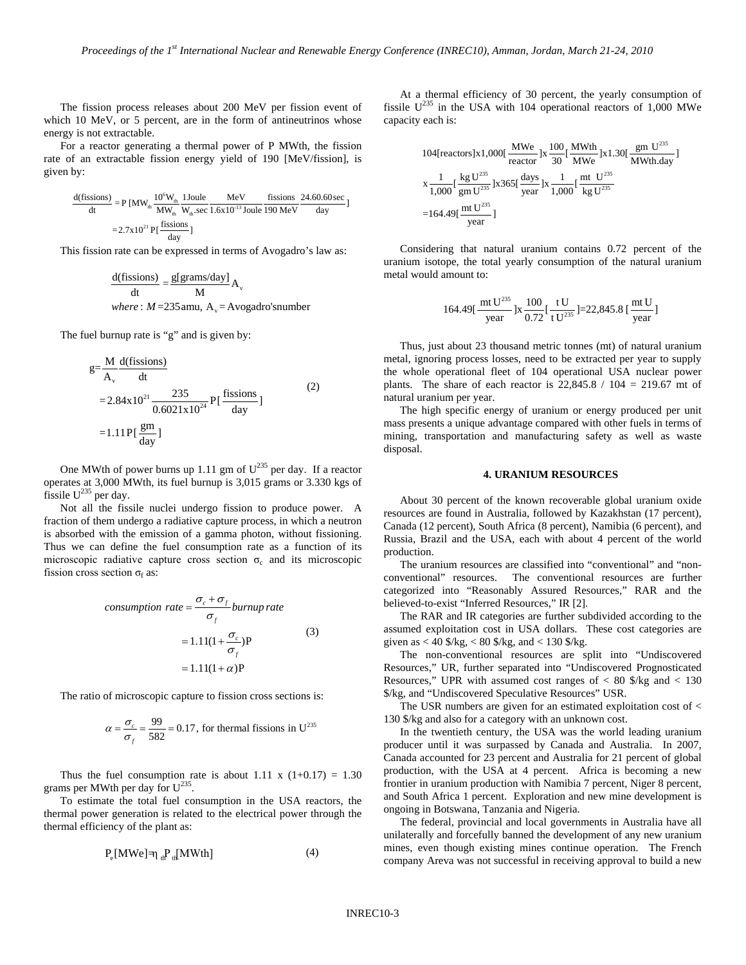The fission process releases about 200 MeV per fission event of which 10 MeV, or 5 percent, are in the form of antineutrinos whose energy is not extractable.

For a reactor generating a thermal power of P MWth, the fission rate of an extractable fission energy yield of 190 [MeV/fission], is given by:

$$
\frac{d(fissions)}{dt} = P [MW_{th} \frac{10^6 W_{th}}{MW_{th}} \frac{Joule}{MW_{th} \cdot sec} \frac{MeV}{1.6 \times 10^{-13} \text{ Joule}} \frac{\text{fissions}}{190 \text{ MeV}} \frac{24.60.60 \text{ sec}}{\text{day}}]
$$

$$
= 2.7 \times 10^{21} P \left[ \frac{\text{fissions}}{\text{day}} \right]
$$

This fission rate can be expressed in terms of Avogadro's law as:

$$
\frac{d(fissions)}{dt} = \frac{g[grams/day]}{M} A_v
$$
  
where: M=235amu, A\_v=Avogadro'snumber

The fuel burnup rate is "g" and is given by:

$$
g = \frac{M}{A_v} \frac{d(fissions)}{dt}
$$
  
= 2.84x10<sup>21</sup>  $\frac{235}{0.6021x10^{24}} P[\frac{fissions}{day}]$   
= 1.11P[ $\frac{gm}{day}$ ] (2)

One MWth of power burns up 1.11 gm of  $U^{235}$  per day. If a reactor operates at 3,000 MWth, its fuel burnup is 3,015 grams or 3.330 kgs of fissile  $U^{235}$  per day.

Not all the fissile nuclei undergo fission to produce power. A fraction of them undergo a radiative capture process, in which a neutron is absorbed with the emission of a gamma photon, without fissioning. Thus we can define the fuel consumption rate as a function of its microscopic radiative capture cross section  $\sigma_c$  and its microscopic fission cross section  $\sigma_f$  as:

$$
consumption rate = \frac{\sigma_c + \sigma_f}{\sigma_f} burnup rate
$$
  
= 1.11(1 +  $\frac{\sigma_c}{\sigma_f}$ )P (3)  
= 1.11(1 +  $\alpha$ )P

The ratio of microscopic capture to fission cross sections is:

$$
\alpha = \frac{\sigma_c}{\sigma_f} = \frac{99}{582} = 0.17
$$
, for thermal fissions in U<sup>235</sup>

Thus the fuel consumption rate is about 1.11 x  $(1+0.17) = 1.30$ grams per MWth per day for  $U^{235}$ .

To estimate the total fuel consumption in the USA reactors, the thermal power generation is related to the electrical power through the thermal efficiency of the plant as:

$$
P_e[MWe] = \eta_{\text{th}} P_{\text{th}}[MWh] \tag{4}
$$

At a thermal efficiency of 30 percent, the yearly consumption of fissile  $U^{235}$  in the USA with 104 operational reactors of 1,000 MWe capacity each is:

104[reactors]x1,000[
$$
\frac{MWe}{reactor}
$$
]x $\frac{100}{30}$ [ $\frac{MWth}{MWe}$ ]x1.30[ $\frac{gm U^{235}}{MWh.day}$ ]  
\nx $\frac{1}{1,000}$ [ $\frac{kg U^{235}}{gm U^{235}}$ ]x365[ $\frac{days}{year}$ ]x $\frac{1}{1,000}$ [ $\frac{mt U^{235}}{kg U^{235}}$   
\n=164.49[ $\frac{mt U^{235}}{year}$ ]

Considering that natural uranium contains 0.72 percent of the uranium isotope, the total yearly consumption of the natural uranium metal would amount to:

$$
164.49 \left[ \frac{\text{mt U}^{235}}{\text{year}} \right] \times \frac{100}{0.72} \left[ \frac{\text{t U}}{\text{t U}^{235}} \right] = 22,845.8 \left[ \frac{\text{mt U}}{\text{year}} \right]
$$

Thus, just about 23 thousand metric tonnes (mt) of natural uranium metal, ignoring process losses, need to be extracted per year to supply the whole operational fleet of 104 operational USA nuclear power plants. The share of each reactor is  $22,845.8 / 104 = 219.67$  mt of natural uranium per year.

The high specific energy of uranium or energy produced per unit mass presents a unique advantage compared with other fuels in terms of mining, transportation and manufacturing safety as well as waste disposal.

#### **4. URANIUM RESOURCES**

About 30 percent of the known recoverable global uranium oxide resources are found in Australia, followed by Kazakhstan (17 percent), Canada (12 percent), South Africa (8 percent), Namibia (6 percent), and Russia, Brazil and the USA, each with about 4 percent of the world production.

The uranium resources are classified into "conventional" and "nonconventional" resources. The conventional resources are further categorized into "Reasonably Assured Resources," RAR and the believed-to-exist "Inferred Resources," IR [2].

The RAR and IR categories are further subdivided according to the assumed exploitation cost in USA dollars. These cost categories are given as  $< 40$  \$/kg,  $< 80$  \$/kg, and  $< 130$  \$/kg.

The non-conventional resources are split into "Undiscovered Resources," UR, further separated into "Undiscovered Prognosticated Resources," UPR with assumed cost ranges of  $< 80$  \$/kg and  $< 130$ \$/kg, and "Undiscovered Speculative Resources" USR.

The USR numbers are given for an estimated exploitation cost of < 130 \$/kg and also for a category with an unknown cost.

In the twentieth century, the USA was the world leading uranium producer until it was surpassed by Canada and Australia. In 2007, Canada accounted for 23 percent and Australia for 21 percent of global production, with the USA at 4 percent. Africa is becoming a new frontier in uranium production with Namibia 7 percent, Niger 8 percent, and South Africa 1 percent. Exploration and new mine development is ongoing in Botswana, Tanzania and Nigeria.

The federal, provincial and local governments in Australia have all unilaterally and forcefully banned the development of any new uranium mines, even though existing mines continue operation. The French company Areva was not successful in receiving approval to build a new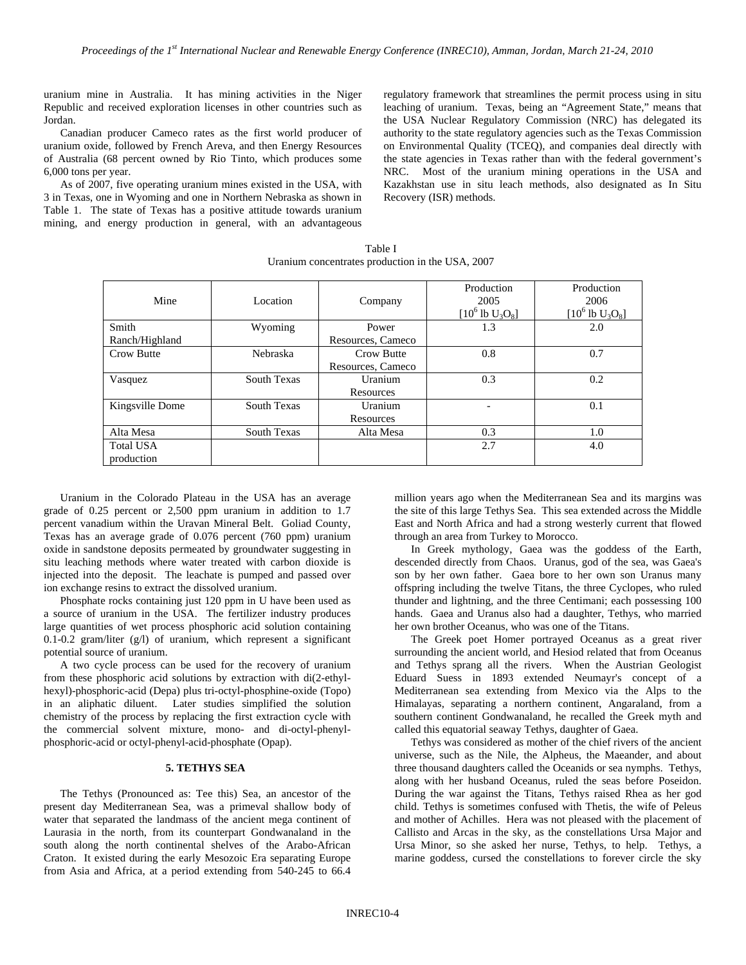uranium mine in Australia. It has mining activities in the Niger Republic and received exploration licenses in other countries such as Jordan.

Canadian producer Cameco rates as the first world producer of uranium oxide, followed by French Areva, and then Energy Resources of Australia (68 percent owned by Rio Tinto, which produces some 6,000 tons per year.

As of 2007, five operating uranium mines existed in the USA, with 3 in Texas, one in Wyoming and one in Northern Nebraska as shown in Table 1. The state of Texas has a positive attitude towards uranium mining, and energy production in general, with an advantageous regulatory framework that streamlines the permit process using in situ leaching of uranium. Texas, being an "Agreement State," means that the USA Nuclear Regulatory Commission (NRC) has delegated its authority to the state regulatory agencies such as the Texas Commission on Environmental Quality (TCEQ), and companies deal directly with the state agencies in Texas rather than with the federal government's NRC. Most of the uranium mining operations in the USA and Kazakhstan use in situ leach methods, also designated as In Situ Recovery (ISR) methods.

Table I Uranium concentrates production in the USA, 2007

| Mine             | Location    | Company           | Production<br>2005<br>$[10^6 \text{ lb } U_3O_8]$ | Production<br>2006<br>$[10^6 \text{ lb } U_3O_8]$ |
|------------------|-------------|-------------------|---------------------------------------------------|---------------------------------------------------|
| Smith            | Wyoming     | Power             | 1.3                                               | 2.0                                               |
| Ranch/Highland   |             | Resources, Cameco |                                                   |                                                   |
| Crow Butte       | Nebraska    | <b>Crow Butte</b> | 0.8                                               | 0.7                                               |
|                  |             | Resources, Cameco |                                                   |                                                   |
| Vasquez          | South Texas | Uranium           | 0.3                                               | 0.2                                               |
|                  |             | Resources         |                                                   |                                                   |
| Kingsville Dome  | South Texas | Uranium           |                                                   | 0.1                                               |
|                  |             | Resources         |                                                   |                                                   |
| Alta Mesa        | South Texas | Alta Mesa         | 0.3                                               | 1.0                                               |
| <b>Total USA</b> |             |                   | 2.7                                               | 4.0                                               |
| production       |             |                   |                                                   |                                                   |

Uranium in the Colorado Plateau in the USA has an average grade of 0.25 percent or 2,500 ppm uranium in addition to 1.7 percent vanadium within the Uravan Mineral Belt. Goliad County, Texas has an average grade of 0.076 percent (760 ppm) uranium oxide in sandstone deposits permeated by groundwater suggesting in situ leaching methods where water treated with carbon dioxide is injected into the deposit. The leachate is pumped and passed over ion exchange resins to extract the dissolved uranium.

Phosphate rocks containing just 120 ppm in U have been used as a source of uranium in the USA. The fertilizer industry produces large quantities of wet process phosphoric acid solution containing 0.1-0.2 gram/liter (g/l) of uranium, which represent a significant potential source of uranium.

A two cycle process can be used for the recovery of uranium from these phosphoric acid solutions by extraction with di(2-ethylhexyl)-phosphoric-acid (Depa) plus tri-octyl-phosphine-oxide (Topo) in an aliphatic diluent. Later studies simplified the solution chemistry of the process by replacing the first extraction cycle with the commercial solvent mixture, mono- and di-octyl-phenylphosphoric-acid or octyl-phenyl-acid-phosphate (Opap).

#### **5. TETHYS SEA**

The Tethys (Pronounced as: Tee this) Sea, an ancestor of the present day Mediterranean Sea, was a primeval shallow body of water that separated the landmass of the ancient mega continent of Laurasia in the north, from its counterpart Gondwanaland in the south along the north continental shelves of the Arabo-African Craton. It existed during the early Mesozoic Era separating Europe from Asia and Africa, at a period extending from 540-245 to 66.4 million years ago when the Mediterranean Sea and its margins was the site of this large Tethys Sea. This sea extended across the Middle East and North Africa and had a strong westerly current that flowed through an area from Turkey to Morocco.

In Greek mythology, Gaea was the goddess of the Earth, descended directly from Chaos. Uranus, god of the sea, was Gaea's son by her own father. Gaea bore to her own son Uranus many offspring including the twelve Titans, the three Cyclopes, who ruled thunder and lightning, and the three Centimani; each possessing 100 hands. Gaea and Uranus also had a daughter, Tethys, who married her own brother Oceanus, who was one of the Titans.

The Greek poet Homer portrayed Oceanus as a great river surrounding the ancient world, and Hesiod related that from Oceanus and Tethys sprang all the rivers. When the Austrian Geologist Eduard Suess in 1893 extended Neumayr's concept of a Mediterranean sea extending from Mexico via the Alps to the Himalayas, separating a northern continent, Angaraland, from a southern continent Gondwanaland, he recalled the Greek myth and called this equatorial seaway Tethys, daughter of Gaea.

Tethys was considered as mother of the chief rivers of the ancient universe, such as the Nile, the Alpheus, the Maeander, and about three thousand daughters called the Oceanids or sea nymphs. Tethys, along with her husband Oceanus, ruled the seas before Poseidon. During the war against the Titans, Tethys raised Rhea as her god child. Tethys is sometimes confused with Thetis, the wife of Peleus and mother of Achilles. Hera was not pleased with the placement of Callisto and Arcas in the sky, as the constellations Ursa Major and Ursa Minor, so she asked her nurse, Tethys, to help. Tethys, a marine goddess, cursed the constellations to forever circle the sky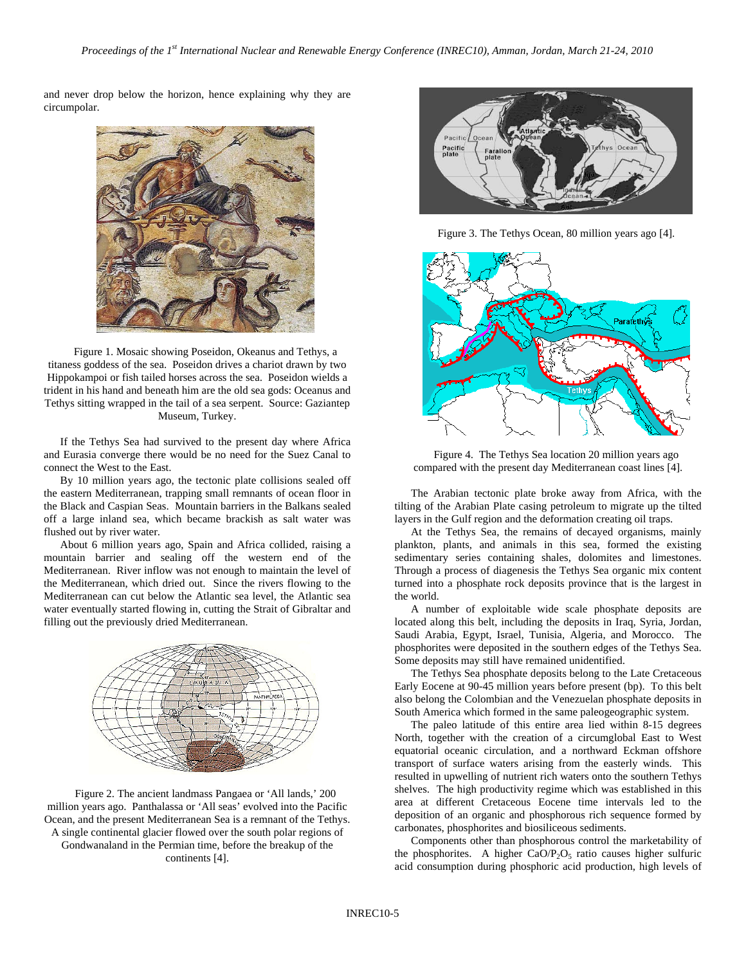and never drop below the horizon, hence explaining why they are circumpolar.



Figure 1. Mosaic showing Poseidon, Okeanus and Tethys, a titaness goddess of the sea. Poseidon drives a chariot drawn by two Hippokampoi or fish tailed horses across the sea. Poseidon wields a trident in his hand and beneath him are the old sea gods: Oceanus and Tethys sitting wrapped in the tail of a sea serpent. Source: Gaziantep Museum, Turkey.

If the Tethys Sea had survived to the present day where Africa and Eurasia converge there would be no need for the Suez Canal to connect the West to the East.

By 10 million years ago, the tectonic plate collisions sealed off the eastern Mediterranean, trapping small remnants of ocean floor in the Black and Caspian Seas. Mountain barriers in the Balkans sealed off a large inland sea, which became brackish as salt water was flushed out by river water.

About 6 million years ago, Spain and Africa collided, raising a mountain barrier and sealing off the western end of the Mediterranean. River inflow was not enough to maintain the level of the Mediterranean, which dried out. Since the rivers flowing to the Mediterranean can cut below the Atlantic sea level, the Atlantic sea water eventually started flowing in, cutting the Strait of Gibraltar and filling out the previously dried Mediterranean.



Figure 2. The ancient landmass Pangaea or 'All lands,' 200 million years ago. Panthalassa or 'All seas' evolved into the Pacific Ocean, and the present Mediterranean Sea is a remnant of the Tethys. A single continental glacier flowed over the south polar regions of Gondwanaland in the Permian time, before the breakup of the continents [4].



Figure 3. The Tethys Ocean, 80 million years ago [4].



Figure 4. The Tethys Sea location 20 million years ago compared with the present day Mediterranean coast lines [4].

The Arabian tectonic plate broke away from Africa, with the tilting of the Arabian Plate casing petroleum to migrate up the tilted layers in the Gulf region and the deformation creating oil traps.

At the Tethys Sea, the remains of decayed organisms, mainly plankton, plants, and animals in this sea, formed the existing sedimentary series containing shales, dolomites and limestones. Through a process of diagenesis the Tethys Sea organic mix content turned into a phosphate rock deposits province that is the largest in the world.

A number of exploitable wide scale phosphate deposits are located along this belt, including the deposits in Iraq, Syria, Jordan, Saudi Arabia, Egypt, Israel, Tunisia, Algeria, and Morocco. The phosphorites were deposited in the southern edges of the Tethys Sea. Some deposits may still have remained unidentified.

The Tethys Sea phosphate deposits belong to the Late Cretaceous Early Eocene at 90-45 million years before present (bp). To this belt also belong the Colombian and the Venezuelan phosphate deposits in South America which formed in the same paleogeographic system.

The paleo latitude of this entire area lied within 8-15 degrees North, together with the creation of a circumglobal East to West equatorial oceanic circulation, and a northward Eckman offshore transport of surface waters arising from the easterly winds. This resulted in upwelling of nutrient rich waters onto the southern Tethys shelves. The high productivity regime which was established in this area at different Cretaceous Eocene time intervals led to the deposition of an organic and phosphorous rich sequence formed by carbonates, phosphorites and biosiliceous sediments.

Components other than phosphorous control the marketability of the phosphorites. A higher CaO/ $P_2O_5$  ratio causes higher sulfuric acid consumption during phosphoric acid production, high levels of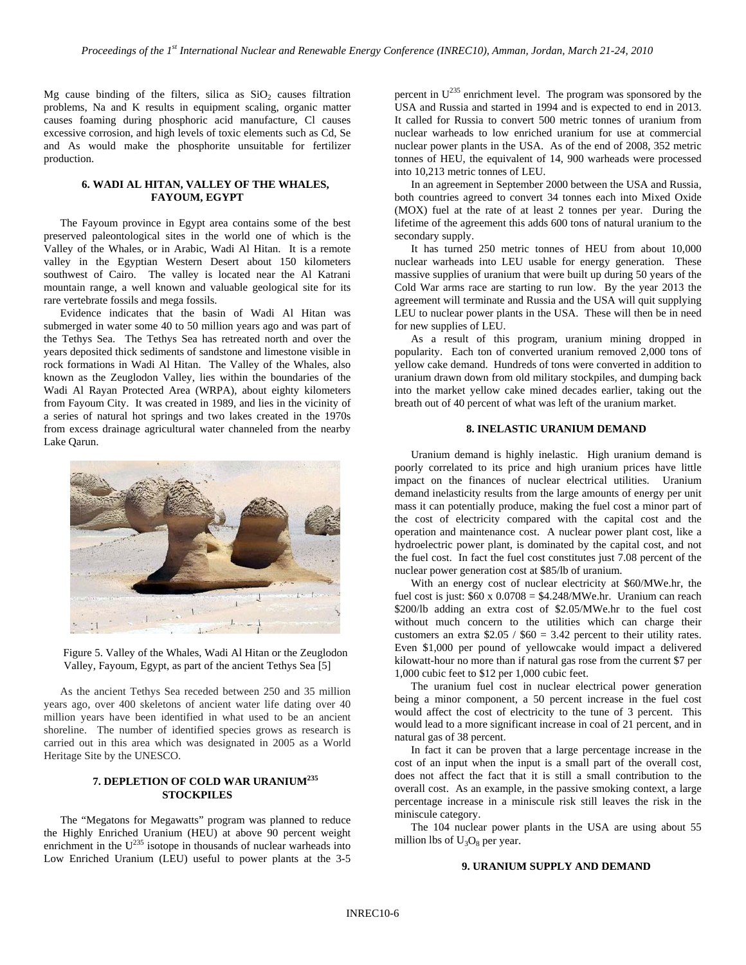Mg cause binding of the filters, silica as  $SiO<sub>2</sub>$  causes filtration problems, Na and K results in equipment scaling, organic matter causes foaming during phosphoric acid manufacture, Cl causes excessive corrosion, and high levels of toxic elements such as Cd, Se and As would make the phosphorite unsuitable for fertilizer production.

## **6. WADI AL HITAN, VALLEY OF THE WHALES, FAYOUM, EGYPT**

The Fayoum province in Egypt area contains some of the best preserved paleontological sites in the world one of which is the Valley of the Whales, or in Arabic, Wadi Al Hitan. It is a remote valley in the Egyptian Western Desert about 150 kilometers southwest of Cairo. The valley is located near the Al Katrani mountain range, a well known and valuable geological site for its rare vertebrate fossils and mega fossils.

Evidence indicates that the basin of Wadi Al Hitan was submerged in water some 40 to 50 million years ago and was part of the Tethys Sea. The Tethys Sea has retreated north and over the years deposited thick sediments of sandstone and limestone visible in rock formations in Wadi Al Hitan. The Valley of the Whales, also known as the Zeuglodon Valley, lies within the boundaries of the Wadi Al Rayan Protected Area (WRPA), about eighty kilometers from Fayoum City. It was created in 1989, and lies in the vicinity of a series of natural hot springs and two lakes created in the 1970s from excess drainage agricultural water channeled from the nearby Lake Qarun.



Figure 5. Valley of the Whales, Wadi Al Hitan or the Zeuglodon Valley, Fayoum, Egypt, as part of the ancient Tethys Sea [5]

As the ancient Tethys Sea receded between 250 and 35 million years ago, over 400 skeletons of ancient water life dating over 40 million years have been identified in what used to be an ancient shoreline. The number of identified species grows as research is carried out in this area which was designated in 2005 as a World Heritage Site by the UNESCO.

## **7. DEPLETION OF COLD WAR URANIUM<sup>235</sup> STOCKPILES**

The "Megatons for Megawatts" program was planned to reduce the Highly Enriched Uranium (HEU) at above 90 percent weight enrichment in the  $U^{235}$  isotope in thousands of nuclear warheads into Low Enriched Uranium (LEU) useful to power plants at the 3-5

percent in  $U^{235}$  enrichment level. The program was sponsored by the USA and Russia and started in 1994 and is expected to end in 2013. It called for Russia to convert 500 metric tonnes of uranium from nuclear warheads to low enriched uranium for use at commercial nuclear power plants in the USA. As of the end of 2008, 352 metric tonnes of HEU, the equivalent of 14, 900 warheads were processed into 10,213 metric tonnes of LEU.

In an agreement in September 2000 between the USA and Russia, both countries agreed to convert 34 tonnes each into Mixed Oxide (MOX) fuel at the rate of at least 2 tonnes per year. During the lifetime of the agreement this adds 600 tons of natural uranium to the secondary supply.

It has turned 250 metric tonnes of HEU from about 10,000 nuclear warheads into LEU usable for energy generation. These massive supplies of uranium that were built up during 50 years of the Cold War arms race are starting to run low. By the year 2013 the agreement will terminate and Russia and the USA will quit supplying LEU to nuclear power plants in the USA. These will then be in need for new supplies of LEU.

As a result of this program, uranium mining dropped in popularity. Each ton of converted uranium removed 2,000 tons of yellow cake demand. Hundreds of tons were converted in addition to uranium drawn down from old military stockpiles, and dumping back into the market yellow cake mined decades earlier, taking out the breath out of 40 percent of what was left of the uranium market.

## **8. INELASTIC URANIUM DEMAND**

Uranium demand is highly inelastic. High uranium demand is poorly correlated to its price and high uranium prices have little impact on the finances of nuclear electrical utilities. Uranium demand inelasticity results from the large amounts of energy per unit mass it can potentially produce, making the fuel cost a minor part of the cost of electricity compared with the capital cost and the operation and maintenance cost. A nuclear power plant cost, like a hydroelectric power plant, is dominated by the capital cost, and not the fuel cost. In fact the fuel cost constitutes just 7.08 percent of the nuclear power generation cost at \$85/lb of uranium.

With an energy cost of nuclear electricity at \$60/MWe.hr, the fuel cost is just:  $$60 \times 0.0708 = $4.248/MWe/hr.$  Uranium can reach \$200/lb adding an extra cost of \$2.05/MWe.hr to the fuel cost without much concern to the utilities which can charge their customers an extra  $$2.05 / $60 = 3.42$  percent to their utility rates. Even \$1,000 per pound of yellowcake would impact a delivered kilowatt-hour no more than if natural gas rose from the current \$7 per 1,000 cubic feet to \$12 per 1,000 cubic feet.

The uranium fuel cost in nuclear electrical power generation being a minor component, a 50 percent increase in the fuel cost would affect the cost of electricity to the tune of 3 percent. This would lead to a more significant increase in coal of 21 percent, and in natural gas of 38 percent.

In fact it can be proven that a large percentage increase in the cost of an input when the input is a small part of the overall cost, does not affect the fact that it is still a small contribution to the overall cost. As an example, in the passive smoking context, a large percentage increase in a miniscule risk still leaves the risk in the miniscule category.

The 104 nuclear power plants in the USA are using about 55 million lbs of  $U_3O_8$  per year.

## **9. URANIUM SUPPLY AND DEMAND**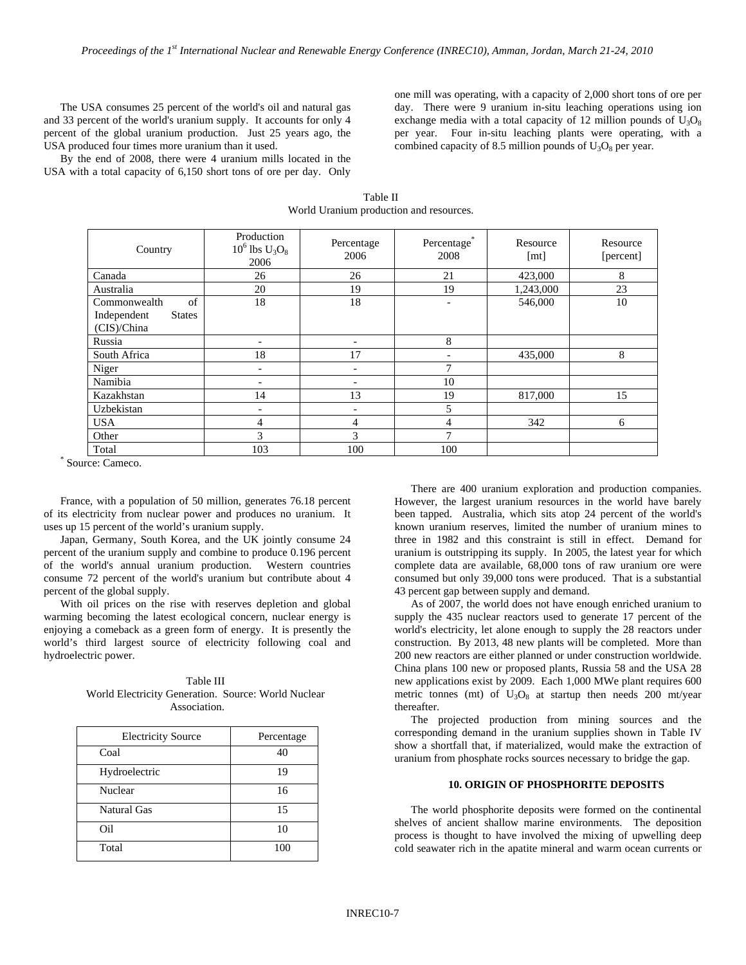The USA consumes 25 percent of the world's oil and natural gas and 33 percent of the world's uranium supply. It accounts for only 4 percent of the global uranium production. Just 25 years ago, the USA produced four times more uranium than it used.

By the end of 2008, there were 4 uranium mills located in the USA with a total capacity of 6,150 short tons of ore per day. Only

one mill was operating, with a capacity of 2,000 short tons of ore per day. There were 9 uranium in-situ leaching operations using ion exchange media with a total capacity of 12 million pounds of  $U_3O_8$ per year. Four in-situ leaching plants were operating, with a combined capacity of 8.5 million pounds of  $U_3O_8$  per year.

Table II World Uranium production and resources.

| Country                      | Production<br>$10^6$ lbs $U_3O_8$<br>2006 | Percentage<br>2006       | Percentage <sup>®</sup><br>2008 | Resource<br>[mt] | Resource<br>[percent] |
|------------------------------|-------------------------------------------|--------------------------|---------------------------------|------------------|-----------------------|
| Canada                       | 26                                        | 26                       | 21                              | 423,000          | 8                     |
| Australia                    | 20                                        | 19                       | 19                              | 1,243,000        | 23                    |
| of<br>Commonwealth           | 18                                        | 18                       | -                               | 546,000          | 10                    |
| Independent<br><b>States</b> |                                           |                          |                                 |                  |                       |
| (CIS)/China                  |                                           |                          |                                 |                  |                       |
| Russia                       | -                                         |                          | 8                               |                  |                       |
| South Africa                 | 18                                        | 17                       |                                 | 435,000          | 8                     |
| Niger                        | $\qquad \qquad \blacksquare$              | $\overline{\phantom{0}}$ | 7                               |                  |                       |
| Namibia                      | $\qquad \qquad \blacksquare$              |                          | 10                              |                  |                       |
| Kazakhstan                   | 14                                        | 13                       | 19                              | 817,000          | 15                    |
| Uzbekistan                   | $\qquad \qquad \blacksquare$              |                          | 5                               |                  |                       |
| <b>USA</b>                   | $\overline{4}$                            | 4                        | 4                               | 342              | 6                     |
| Other                        | 3                                         | 3                        | 7                               |                  |                       |
| Total                        | 103                                       | 100                      | 100                             |                  |                       |

\* Source: Cameco.

France, with a population of 50 million, generates 76.18 percent of its electricity from nuclear power and produces no uranium. It uses up 15 percent of the world's uranium supply.

Japan, Germany, South Korea, and the UK jointly consume 24 percent of the uranium supply and combine to produce 0.196 percent of the world's annual uranium production. Western countries consume 72 percent of the world's uranium but contribute about 4 percent of the global supply.

With oil prices on the rise with reserves depletion and global warming becoming the latest ecological concern, nuclear energy is enjoying a comeback as a green form of energy. It is presently the world's third largest source of electricity following coal and hydroelectric power.

Table III World Electricity Generation. Source: World Nuclear Association.

| <b>Electricity Source</b> | Percentage |
|---------------------------|------------|
| Coal                      | 40         |
| Hydroelectric             | 19         |
| Nuclear                   | 16         |
| Natural Gas               | 15         |
| Oil                       | 10         |
| Total                     | 100        |

There are 400 uranium exploration and production companies. However, the largest uranium resources in the world have barely been tapped. Australia, which sits atop 24 percent of the world's known uranium reserves, limited the number of uranium mines to three in 1982 and this constraint is still in effect. Demand for uranium is outstripping its supply. In 2005, the latest year for which complete data are available, 68,000 tons of raw uranium ore were consumed but only 39,000 tons were produced. That is a substantial 43 percent gap between supply and demand.

As of 2007, the world does not have enough enriched uranium to supply the 435 nuclear reactors used to generate 17 percent of the world's electricity, let alone enough to supply the 28 reactors under construction. By 2013, 48 new plants will be completed. More than 200 new reactors are either planned or under construction worldwide. China plans 100 new or proposed plants, Russia 58 and the USA 28 new applications exist by 2009. Each 1,000 MWe plant requires 600 metric tonnes (mt) of  $U_3O_8$  at startup then needs 200 mt/year thereafter.

The projected production from mining sources and the corresponding demand in the uranium supplies shown in Table IV show a shortfall that, if materialized, would make the extraction of uranium from phosphate rocks sources necessary to bridge the gap.

## **10. ORIGIN OF PHOSPHORITE DEPOSITS**

The world phosphorite deposits were formed on the continental shelves of ancient shallow marine environments. The deposition process is thought to have involved the mixing of upwelling deep cold seawater rich in the apatite mineral and warm ocean currents or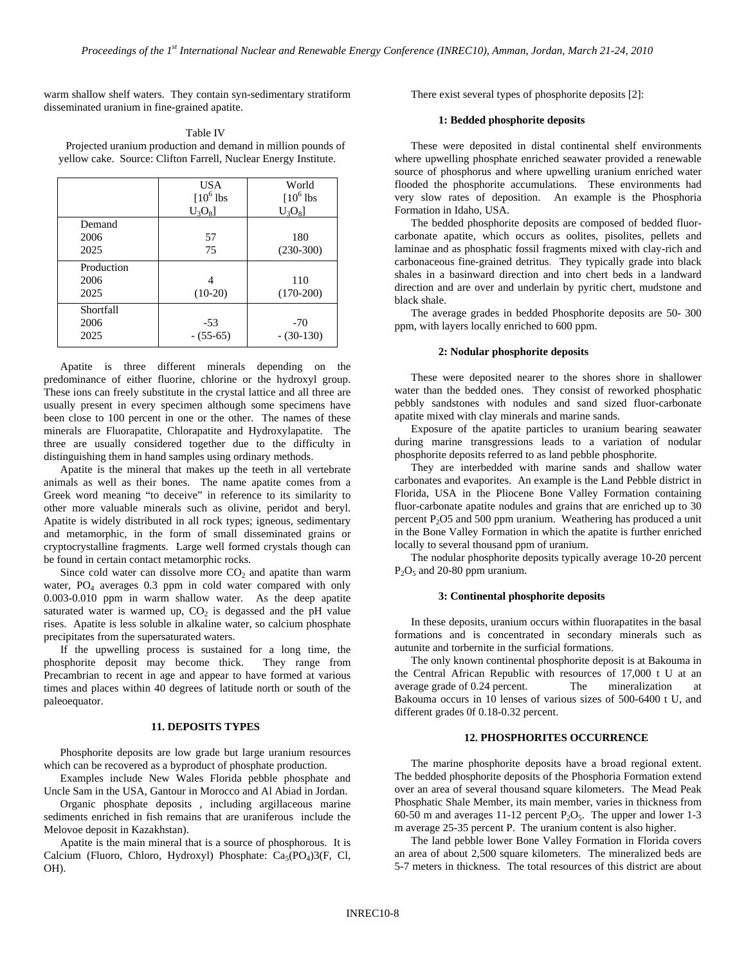warm shallow shelf waters. They contain syn-sedimentary stratiform disseminated uranium in fine-grained apatite.

| Table IV                                                        |  |
|-----------------------------------------------------------------|--|
| Projected uranium production and demand in million pounds of    |  |
| yellow cake. Source: Clifton Farrell, Nuclear Energy Institute. |  |

|                            | <b>USA</b><br>$[10^6$ lbs<br>$U_3O_8$ | World<br>$[10^6$ lbs<br>$U_3O_8$ |
|----------------------------|---------------------------------------|----------------------------------|
| Demand<br>2006<br>2025     | 57<br>75                              | 180<br>$(230-300)$               |
| Production<br>2006<br>2025 | $(10-20)$                             | 110<br>$(170-200)$               |
| Shortfall<br>2006<br>2025  | $-53$<br>$- (55-65)$                  | $-70$<br>$-(30-130)$             |

Apatite is three different minerals depending on the predominance of either fluorine, chlorine or the hydroxyl group. These ions can freely substitute in the crystal lattice and all three are usually present in every specimen although some specimens have been close to 100 percent in one or the other. The names of these minerals are Fluorapatite, Chlorapatite and Hydroxylapatite. The three are usually considered together due to the difficulty in distinguishing them in hand samples using ordinary methods.

Apatite is the mineral that makes up the teeth in all vertebrate animals as well as their bones. The name apatite comes from a Greek word meaning "to deceive" in reference to its similarity to other more valuable minerals such as olivine, peridot and beryl. Apatite is widely distributed in all rock types; igneous, sedimentary and metamorphic, in the form of small disseminated grains or cryptocrystalline fragments. Large well formed crystals though can be found in certain contact metamorphic rocks.

Since cold water can dissolve more  $CO<sub>2</sub>$  and apatite than warm water,  $PO_4$  averages 0.3 ppm in cold water compared with only 0.003-0.010 ppm in warm shallow water. As the deep apatite saturated water is warmed up,  $CO<sub>2</sub>$  is degassed and the pH value rises. Apatite is less soluble in alkaline water, so calcium phosphate precipitates from the supersaturated waters.

If the upwelling process is sustained for a long time, the phosphorite deposit may become thick. They range from Precambrian to recent in age and appear to have formed at various times and places within 40 degrees of latitude north or south of the paleoequator.

#### **11. DEPOSITS TYPES**

Phosphorite deposits are low grade but large uranium resources which can be recovered as a byproduct of phosphate production.

Examples include New Wales Florida pebble phosphate and Uncle Sam in the USA, Gantour in Morocco and Al Abiad in Jordan.

Organic phosphate deposits , including argillaceous marine sediments enriched in fish remains that are uraniferous include the Melovoe deposit in Kazakhstan).

Apatite is the main mineral that is a source of phosphorous. It is Calcium (Fluoro, Chloro, Hydroxyl) Phosphate:  $Ca<sub>5</sub>(PO<sub>4</sub>)3(F, Cl, P<sub>4</sub>)$ OH).

There exist several types of phosphorite deposits [2]:

## **1: Bedded phosphorite deposits**

These were deposited in distal continental shelf environments where upwelling phosphate enriched seawater provided a renewable source of phosphorus and where upwelling uranium enriched water flooded the phosphorite accumulations. These environments had very slow rates of deposition. An example is the Phosphoria Formation in Idaho, USA.

The bedded phosphorite deposits are composed of bedded fluorcarbonate apatite, which occurs as oolites, pisolites, pellets and laminae and as phosphatic fossil fragments mixed with clay-rich and carbonaceous fine-grained detritus. They typically grade into black shales in a basinward direction and into chert beds in a landward direction and are over and underlain by pyritic chert, mudstone and black shale.

The average grades in bedded Phosphorite deposits are 50- 300 ppm, with layers locally enriched to 600 ppm.

#### **2: Nodular phosphorite deposits**

These were deposited nearer to the shores shore in shallower water than the bedded ones. They consist of reworked phosphatic pebbly sandstones with nodules and sand sized fluor-carbonate apatite mixed with clay minerals and marine sands.

Exposure of the apatite particles to uranium bearing seawater during marine transgressions leads to a variation of nodular phosphorite deposits referred to as land pebble phosphorite.

They are interbedded with marine sands and shallow water carbonates and evaporites. An example is the Land Pebble district in Florida, USA in the Pliocene Bone Valley Formation containing fluor-carbonate apatite nodules and grains that are enriched up to 30 percent  $P_2O5$  and 500 ppm uranium. Weathering has produced a unit in the Bone Valley Formation in which the apatite is further enriched locally to several thousand ppm of uranium.

The nodular phosphorite deposits typically average 10-20 percent  $P_2O_5$  and 20-80 ppm uranium.

#### **3: Continental phosphorite deposits**

In these deposits, uranium occurs within fluorapatites in the basal formations and is concentrated in secondary minerals such as autunite and torbernite in the surficial formations.

The only known continental phosphorite deposit is at Bakouma in the Central African Republic with resources of 17,000 t U at an average grade of 0.24 percent. The mineralization at Bakouma occurs in 10 lenses of various sizes of 500-6400 t U, and different grades 0f 0.18-0.32 percent.

## **12. PHOSPHORITES OCCURRENCE**

The marine phosphorite deposits have a broad regional extent. The bedded phosphorite deposits of the Phosphoria Formation extend over an area of several thousand square kilometers. The Mead Peak Phosphatic Shale Member, its main member, varies in thickness from 60-50 m and averages 11-12 percent  $P_2O_5$ . The upper and lower 1-3 m average 25-35 percent P. The uranium content is also higher.

The land pebble lower Bone Valley Formation in Florida covers an area of about 2,500 square kilometers. The mineralized beds are 5-7 meters in thickness. The total resources of this district are about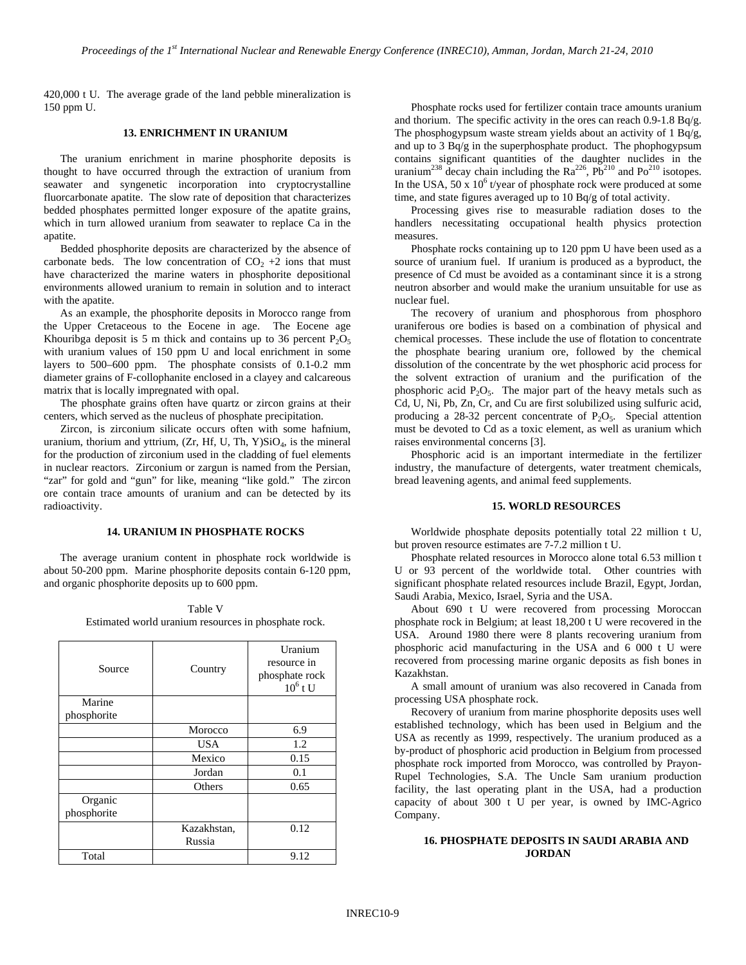420,000 t U. The average grade of the land pebble mineralization is 150 ppm U.

## **13. ENRICHMENT IN URANIUM**

The uranium enrichment in marine phosphorite deposits is thought to have occurred through the extraction of uranium from seawater and syngenetic incorporation into cryptocrystalline fluorcarbonate apatite. The slow rate of deposition that characterizes bedded phosphates permitted longer exposure of the apatite grains, which in turn allowed uranium from seawater to replace Ca in the apatite.

Bedded phosphorite deposits are characterized by the absence of carbonate beds. The low concentration of  $CO<sub>2</sub> +2$  ions that must have characterized the marine waters in phosphorite depositional environments allowed uranium to remain in solution and to interact with the apatite.

As an example, the phosphorite deposits in Morocco range from the Upper Cretaceous to the Eocene in age. The Eocene age Khouribga deposit is 5 m thick and contains up to 36 percent  $P_2O_5$ with uranium values of 150 ppm U and local enrichment in some layers to 500–600 ppm. The phosphate consists of 0.1-0.2 mm diameter grains of F-collophanite enclosed in a clayey and calcareous matrix that is locally impregnated with opal.

The phosphate grains often have quartz or zircon grains at their centers, which served as the nucleus of phosphate precipitation.

Zircon, is zirconium silicate occurs often with some hafnium, uranium, thorium and yttrium,  $(Zr, Hf, U, Th, Y)SiO<sub>4</sub>$ , is the mineral for the production of zirconium used in the cladding of fuel elements in nuclear reactors. Zirconium or zargun is named from the Persian, "zar" for gold and "gun" for like, meaning "like gold." The zircon ore contain trace amounts of uranium and can be detected by its radioactivity.

### **14. URANIUM IN PHOSPHATE ROCKS**

The average uranium content in phosphate rock worldwide is about 50-200 ppm. Marine phosphorite deposits contain 6-120 ppm, and organic phosphorite deposits up to 600 ppm.

Table V Estimated world uranium resources in phosphate rock.

| Source                 | Country               | Uranium<br>resource in<br>phosphate rock<br>$10^6$ t U |
|------------------------|-----------------------|--------------------------------------------------------|
| Marine<br>phosphorite  |                       |                                                        |
|                        | Morocco               | 6.9                                                    |
|                        | <b>USA</b>            | 1.2                                                    |
|                        | Mexico                | 0.15                                                   |
|                        | Jordan                | 0.1                                                    |
|                        | Others                | 0.65                                                   |
| Organic<br>phosphorite |                       |                                                        |
|                        | Kazakhstan,<br>Russia | 0.12                                                   |
| Total                  |                       | 9.12                                                   |

Phosphate rocks used for fertilizer contain trace amounts uranium and thorium. The specific activity in the ores can reach  $0.9-1.8$  Bq/g. The phosphogypsum waste stream yields about an activity of 1 Bq/g, and up to 3 Bq/g in the superphosphate product. The phophogypsum contains significant quantities of the daughter nuclides in the uranium<sup>238</sup> decay chain including the  $Ra^{226}$ ,  $Pb^{210}$  and  $Po^{210}$  isotopes. In the USA,  $50 \times 10^6$  t/year of phosphate rock were produced at some time, and state figures averaged up to 10 Bq/g of total activity.

Processing gives rise to measurable radiation doses to the handlers necessitating occupational health physics protection measures.

Phosphate rocks containing up to 120 ppm U have been used as a source of uranium fuel. If uranium is produced as a byproduct, the presence of Cd must be avoided as a contaminant since it is a strong neutron absorber and would make the uranium unsuitable for use as nuclear fuel.

The recovery of uranium and phosphorous from phosphoro uraniferous ore bodies is based on a combination of physical and chemical processes. These include the use of flotation to concentrate the phosphate bearing uranium ore, followed by the chemical dissolution of the concentrate by the wet phosphoric acid process for the solvent extraction of uranium and the purification of the phosphoric acid  $P_2O_5$ . The major part of the heavy metals such as Cd, U, Ni, Pb, Zn, Cr, and Cu are first solubilized using sulfuric acid, producing a 28-32 percent concentrate of  $P_2O_5$ . Special attention must be devoted to Cd as a toxic element, as well as uranium which raises environmental concerns [3].

Phosphoric acid is an important intermediate in the fertilizer industry, the manufacture of detergents, water treatment chemicals, bread leavening agents, and animal feed supplements.

### **15. WORLD RESOURCES**

Worldwide phosphate deposits potentially total 22 million t U, but proven resource estimates are 7-7.2 million t U.

Phosphate related resources in Morocco alone total 6.53 million t U or 93 percent of the worldwide total. Other countries with significant phosphate related resources include Brazil, Egypt, Jordan, Saudi Arabia, Mexico, Israel, Syria and the USA.

About 690 t U were recovered from processing Moroccan phosphate rock in Belgium; at least 18,200 t U were recovered in the USA. Around 1980 there were 8 plants recovering uranium from phosphoric acid manufacturing in the USA and 6 000 t U were recovered from processing marine organic deposits as fish bones in Kazakhstan.

A small amount of uranium was also recovered in Canada from processing USA phosphate rock.

Recovery of uranium from marine phosphorite deposits uses well established technology, which has been used in Belgium and the USA as recently as 1999, respectively. The uranium produced as a by-product of phosphoric acid production in Belgium from processed phosphate rock imported from Morocco, was controlled by Prayon-Rupel Technologies, S.A. The Uncle Sam uranium production facility, the last operating plant in the USA, had a production capacity of about 300 t U per year, is owned by IMC-Agrico Company.

### **16. PHOSPHATE DEPOSITS IN SAUDI ARABIA AND JORDAN**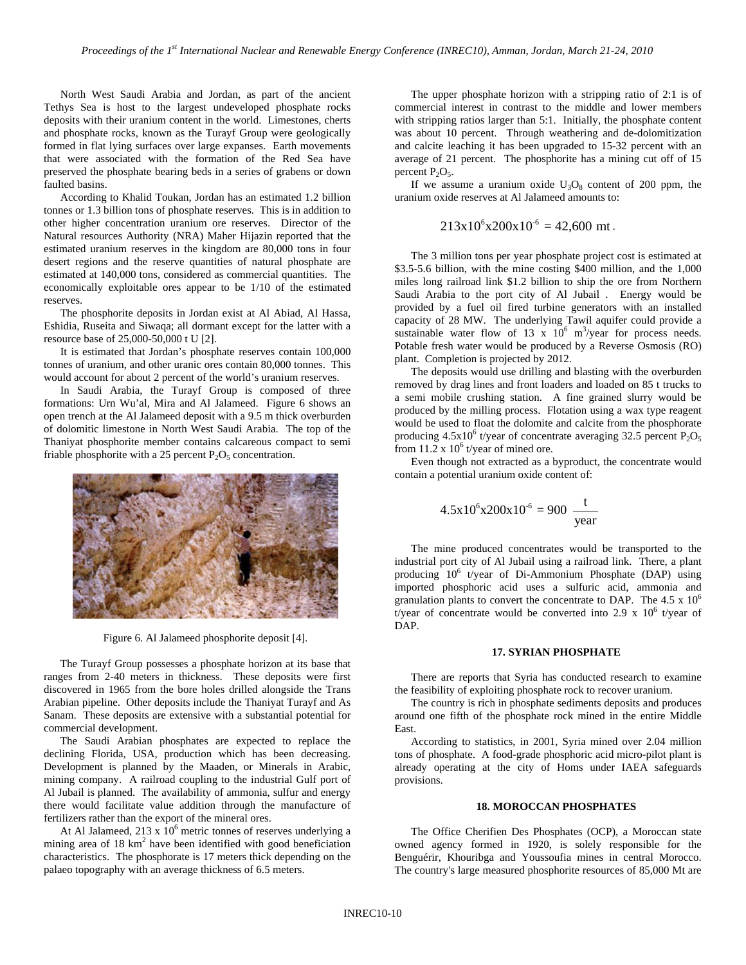North West Saudi Arabia and Jordan, as part of the ancient Tethys Sea is host to the largest undeveloped phosphate rocks deposits with their uranium content in the world. Limestones, cherts and phosphate rocks, known as the Turayf Group were geologically formed in flat lying surfaces over large expanses. Earth movements that were associated with the formation of the Red Sea have preserved the phosphate bearing beds in a series of grabens or down faulted basins.

According to Khalid Toukan, Jordan has an estimated 1.2 billion tonnes or 1.3 billion tons of phosphate reserves. This is in addition to other higher concentration uranium ore reserves. Director of the Natural resources Authority (NRA) Maher Hijazin reported that the estimated uranium reserves in the kingdom are 80,000 tons in four desert regions and the reserve quantities of natural phosphate are estimated at 140,000 tons, considered as commercial quantities. The economically exploitable ores appear to be 1/10 of the estimated reserves.

The phosphorite deposits in Jordan exist at Al Abiad, Al Hassa, Eshidia, Ruseita and Siwaqa; all dormant except for the latter with a resource base of 25,000-50,000 t U [2].

It is estimated that Jordan's phosphate reserves contain 100,000 tonnes of uranium, and other uranic ores contain 80,000 tonnes. This would account for about 2 percent of the world's uranium reserves.

In Saudi Arabia, the Turayf Group is composed of three formations: Urn Wu'al, Mira and Al Jalameed. Figure 6 shows an open trench at the Al Jalameed deposit with a 9.5 m thick overburden of dolomitic limestone in North West Saudi Arabia. The top of the Thaniyat phosphorite member contains calcareous compact to semi friable phosphorite with a 25 percent  $P_2O_5$  concentration.



Figure 6. Al Jalameed phosphorite deposit [4].

The Turayf Group possesses a phosphate horizon at its base that ranges from 2-40 meters in thickness. These deposits were first discovered in 1965 from the bore holes drilled alongside the Trans Arabian pipeline. Other deposits include the Thaniyat Turayf and As Sanam. These deposits are extensive with a substantial potential for commercial development.

The Saudi Arabian phosphates are expected to replace the declining Florida, USA, production which has been decreasing. Development is planned by the Maaden, or Minerals in Arabic, mining company. A railroad coupling to the industrial Gulf port of Al Jubail is planned. The availability of ammonia, sulfur and energy there would facilitate value addition through the manufacture of fertilizers rather than the export of the mineral ores.

At Al Jalameed, 213 x  $10^6$  metric tonnes of reserves underlying a mining area of 18 km<sup>2</sup> have been identified with good beneficiation characteristics. The phosphorate is 17 meters thick depending on the palaeo topography with an average thickness of 6.5 meters.

The upper phosphate horizon with a stripping ratio of 2:1 is of commercial interest in contrast to the middle and lower members with stripping ratios larger than 5:1. Initially, the phosphate content was about 10 percent. Through weathering and de-dolomitization and calcite leaching it has been upgraded to 15-32 percent with an average of 21 percent. The phosphorite has a mining cut off of 15 percent  $P_2O_5$ .

If we assume a uranium oxide  $U_3O_8$  content of 200 ppm, the uranium oxide reserves at Al Jalameed amounts to:

$$
213x10^6x200x10^{6} = 42,600
$$
 mt.

The 3 million tons per year phosphate project cost is estimated at \$3.5-5.6 billion, with the mine costing \$400 million, and the 1,000 miles long railroad link \$1.2 billion to ship the ore from Northern Saudi Arabia to the port city of Al Jubail . Energy would be provided by a fuel oil fired turbine generators with an installed capacity of 28 MW. The underlying Tawil aquifer could provide a sustainable water flow of 13 x  $10^6$  m<sup>3</sup>/year for process needs. Potable fresh water would be produced by a Reverse Osmosis (RO) plant. Completion is projected by 2012.

The deposits would use drilling and blasting with the overburden removed by drag lines and front loaders and loaded on 85 t trucks to a semi mobile crushing station. A fine grained slurry would be produced by the milling process. Flotation using a wax type reagent would be used to float the dolomite and calcite from the phosphorate producing  $4.5x10^6$  t/year of concentrate averaging 32.5 percent  $P_2O_5$ from 11.2 x  $10^6$  t/year of mined ore.

Even though not extracted as a byproduct, the concentrate would contain a potential uranium oxide content of:

$$
4.5x10^6x200x10^6 = 900 \frac{t}{year}
$$

The mine produced concentrates would be transported to the industrial port city of Al Jubail using a railroad link. There, a plant producing  $10^6$  t/year of Di-Ammonium Phosphate (DAP) using imported phosphoric acid uses a sulfuric acid, ammonia and granulation plants to convert the concentrate to DAP. The 4.5 x  $10^6$ t/year of concentrate would be converted into 2.9 x  $10^6$  t/year of DAP.

### **17. SYRIAN PHOSPHATE**

There are reports that Syria has conducted research to examine the feasibility of exploiting phosphate rock to recover uranium.

The country is rich in phosphate sediments deposits and produces around one fifth of the phosphate rock mined in the entire Middle East.

According to statistics, in 2001, Syria mined over 2.04 million tons of phosphate. A food-grade phosphoric acid micro-pilot plant is already operating at the city of Homs under IAEA safeguards provisions.

#### **18. MOROCCAN PHOSPHATES**

The Office Cherifien Des Phosphates (OCP), a Moroccan state owned agency formed in 1920, is solely responsible for the Benguérir, Khouribga and Youssoufia mines in central Morocco. The country's large measured phosphorite resources of 85,000 Mt are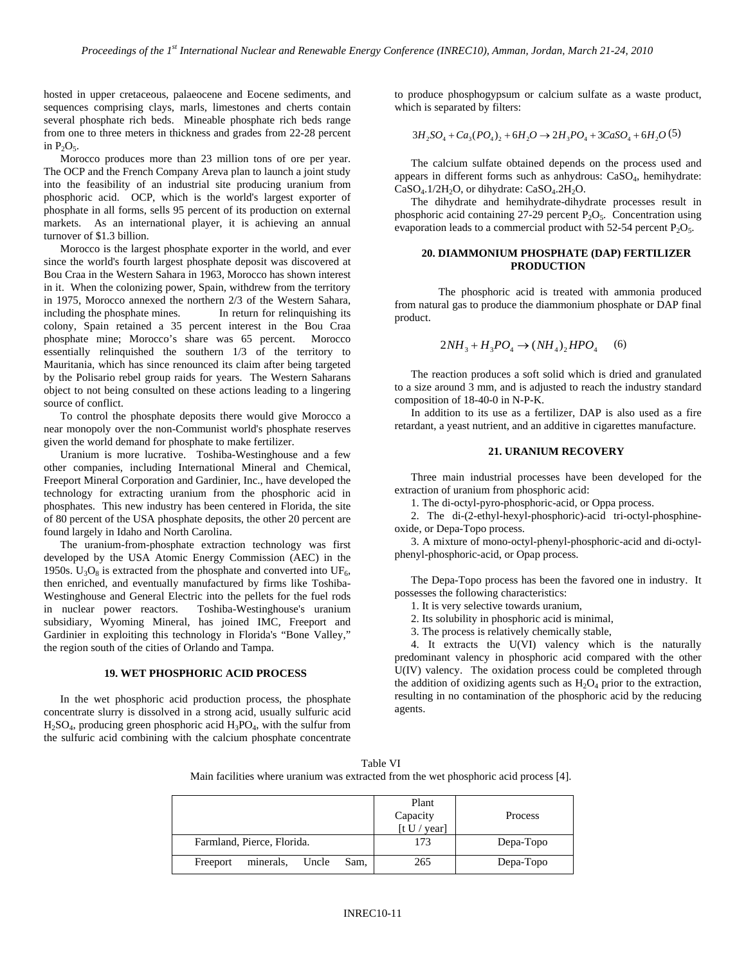hosted in upper cretaceous, palaeocene and Eocene sediments, and sequences comprising clays, marls, limestones and cherts contain several phosphate rich beds. Mineable phosphate rich beds range from one to three meters in thickness and grades from 22-28 percent in  $P_2O_5$ .

Morocco produces more than 23 million tons of ore per year. The OCP and the French Company Areva plan to launch a joint study into the feasibility of an industrial site producing uranium from phosphoric acid. OCP, which is the world's largest exporter of phosphate in all forms, sells 95 percent of its production on external markets. As an international player, it is achieving an annual turnover of \$1.3 billion.

Morocco is the largest phosphate exporter in the world, and ever since the world's fourth largest phosphate deposit was discovered at Bou Craa in the Western Sahara in 1963, Morocco has shown interest in it. When the colonizing power, Spain, withdrew from the territory in 1975, Morocco annexed the northern 2/3 of the Western Sahara, including the phosphate mines. In return for relinquishing its colony, Spain retained a 35 percent interest in the Bou Craa phosphate mine; Morocco's share was 65 percent. Morocco essentially relinquished the southern 1/3 of the territory to Mauritania, which has since renounced its claim after being targeted by the Polisario rebel group raids for years. The Western Saharans object to not being consulted on these actions leading to a lingering source of conflict.

To control the phosphate deposits there would give Morocco a near monopoly over the non-Communist world's phosphate reserves given the world demand for phosphate to make fertilizer.

Uranium is more lucrative. Toshiba-Westinghouse and a few other companies, including International Mineral and Chemical, Freeport Mineral Corporation and Gardinier, Inc., have developed the technology for extracting uranium from the phosphoric acid in phosphates. This new industry has been centered in Florida, the site of 80 percent of the USA phosphate deposits, the other 20 percent are found largely in Idaho and North Carolina.

The uranium-from-phosphate extraction technology was first developed by the USA Atomic Energy Commission (AEC) in the 1950s.  $U_3O_8$  is extracted from the phosphate and converted into UF<sub>6</sub>, then enriched, and eventually manufactured by firms like Toshiba-Westinghouse and General Electric into the pellets for the fuel rods<br>in nuclear power reactors. Toshiba-Westinghouse's uranium Toshiba-Westinghouse's uranium subsidiary, Wyoming Mineral, has joined IMC, Freeport and Gardinier in exploiting this technology in Florida's "Bone Valley," the region south of the cities of Orlando and Tampa.

#### **19. WET PHOSPHORIC ACID PROCESS**

In the wet phosphoric acid production process, the phosphate concentrate slurry is dissolved in a strong acid, usually sulfuric acid  $H<sub>2</sub>SO<sub>4</sub>$ , producing green phosphoric acid  $H<sub>3</sub>PO<sub>4</sub>$ , with the sulfur from the sulfuric acid combining with the calcium phosphate concentrate

to produce phosphogypsum or calcium sulfate as a waste product, which is separated by filters:

$$
3H_2SO_4 + Ca_3(PO_4)_2 + 6H_2O \rightarrow 2H_3PO_4 + 3CaSO_4 + 6H_2O(5)
$$

The calcium sulfate obtained depends on the process used and appears in different forms such as anhydrous: CaSO4, hemihydrate:  $CaSO<sub>4</sub>$ .1/2H<sub>2</sub>O, or dihydrate:  $CaSO<sub>4</sub>$ .2H<sub>2</sub>O.

The dihydrate and hemihydrate-dihydrate processes result in phosphoric acid containing 27-29 percent  $P_2O_5$ . Concentration using evaporation leads to a commercial product with 52-54 percent  $P_2O_5$ .

#### **20. DIAMMONIUM PHOSPHATE (DAP) FERTILIZER PRODUCTION**

The phosphoric acid is treated with ammonia produced from natural gas to produce the diammonium phosphate or DAP final product.

$$
2NH_3 + H_3PO_4 \to (NH_4)_2HPO_4 \tag{6}
$$

The reaction produces a soft solid which is dried and granulated to a size around 3 mm, and is adjusted to reach the industry standard composition of 18-40-0 in N-P-K.

In addition to its use as a fertilizer, DAP is also used as a fire retardant, a yeast nutrient, and an additive in cigarettes manufacture.

### **21. URANIUM RECOVERY**

Three main industrial processes have been developed for the extraction of uranium from phosphoric acid:

1. The di-octyl-pyro-phosphoric-acid, or Oppa process.

2. The di-(2-ethyl-hexyl-phosphoric)-acid tri-octyl-phosphineoxide, or Depa-Topo process.

3. A mixture of mono-octyl-phenyl-phosphoric-acid and di-octylphenyl-phosphoric-acid, or Opap process.

The Depa-Topo process has been the favored one in industry. It possesses the following characteristics:

1. It is very selective towards uranium,

2. Its solubility in phosphoric acid is minimal,

3. The process is relatively chemically stable,

4. It extracts the U(VI) valency which is the naturally predominant valency in phosphoric acid compared with the other U(IV) valency. The oxidation process could be completed through the addition of oxidizing agents such as  $H_2O_4$  prior to the extraction, resulting in no contamination of the phosphoric acid by the reducing agents.

| Table VI                                                                              |  |
|---------------------------------------------------------------------------------------|--|
| Main facilities where uranium was extracted from the wet phosphoric acid process [4]. |  |

|                                        | Plant<br>Capacity<br>[t U / year] | Process   |
|----------------------------------------|-----------------------------------|-----------|
| Farmland, Pierce, Florida.             | 173                               | Depa-Topo |
| minerals,<br>Sam,<br>Uncle<br>Freeport | 265                               | Depa-Topo |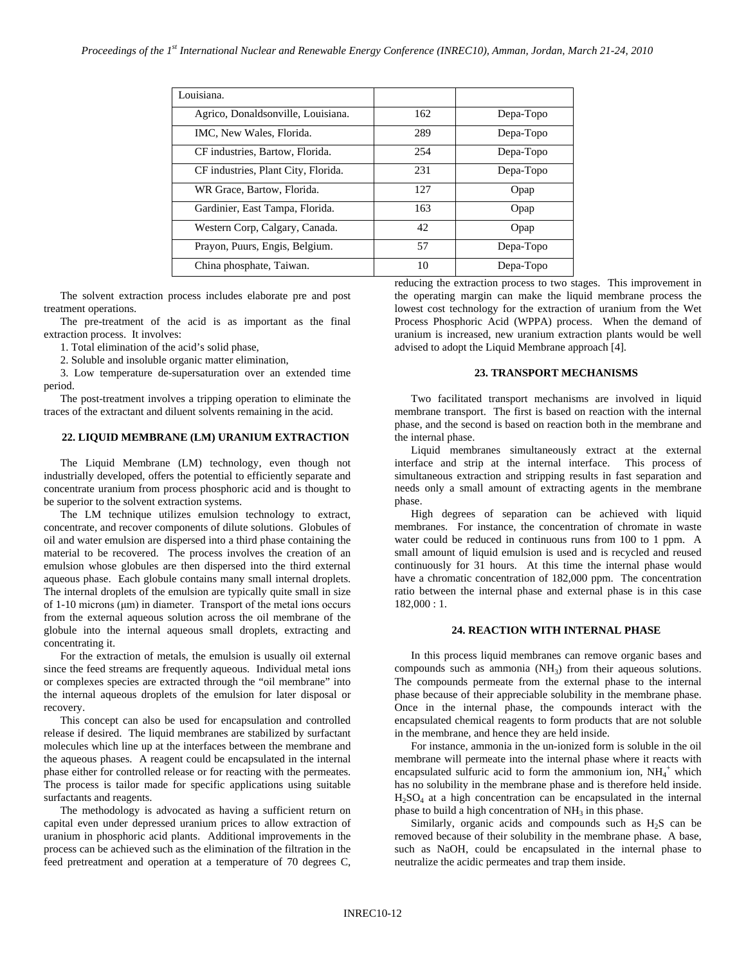| Louisiana.                          |     |           |
|-------------------------------------|-----|-----------|
| Agrico, Donaldsonville, Louisiana.  | 162 | Depa-Topo |
| IMC, New Wales, Florida.            | 289 | Depa-Topo |
| CF industries, Bartow, Florida.     | 254 | Depa-Topo |
| CF industries, Plant City, Florida. | 231 | Depa-Topo |
| WR Grace, Bartow, Florida.          | 127 | Opap      |
| Gardinier, East Tampa, Florida.     | 163 | Opap      |
| Western Corp, Calgary, Canada.      | 42  | Opap      |
| Prayon, Puurs, Engis, Belgium.      | 57  | Depa-Topo |
| China phosphate, Taiwan.            | 10  | Depa-Topo |

The solvent extraction process includes elaborate pre and post treatment operations.

The pre-treatment of the acid is as important as the final extraction process. It involves:

1. Total elimination of the acid's solid phase,

2. Soluble and insoluble organic matter elimination,

3. Low temperature de-supersaturation over an extended time period.

The post-treatment involves a tripping operation to eliminate the traces of the extractant and diluent solvents remaining in the acid.

## **22. LIQUID MEMBRANE (LM) URANIUM EXTRACTION**

The Liquid Membrane (LM) technology, even though not industrially developed, offers the potential to efficiently separate and concentrate uranium from process phosphoric acid and is thought to be superior to the solvent extraction systems.

The LM technique utilizes emulsion technology to extract, concentrate, and recover components of dilute solutions. Globules of oil and water emulsion are dispersed into a third phase containing the material to be recovered. The process involves the creation of an emulsion whose globules are then dispersed into the third external aqueous phase. Each globule contains many small internal droplets. The internal droplets of the emulsion are typically quite small in size of 1-10 microns (μm) in diameter. Transport of the metal ions occurs from the external aqueous solution across the oil membrane of the globule into the internal aqueous small droplets, extracting and concentrating it.

For the extraction of metals, the emulsion is usually oil external since the feed streams are frequently aqueous. Individual metal ions or complexes species are extracted through the "oil membrane" into the internal aqueous droplets of the emulsion for later disposal or recovery.

This concept can also be used for encapsulation and controlled release if desired. The liquid membranes are stabilized by surfactant molecules which line up at the interfaces between the membrane and the aqueous phases. A reagent could be encapsulated in the internal phase either for controlled release or for reacting with the permeates. The process is tailor made for specific applications using suitable surfactants and reagents.

The methodology is advocated as having a sufficient return on capital even under depressed uranium prices to allow extraction of uranium in phosphoric acid plants. Additional improvements in the process can be achieved such as the elimination of the filtration in the feed pretreatment and operation at a temperature of 70 degrees C,

reducing the extraction process to two stages. This improvement in the operating margin can make the liquid membrane process the lowest cost technology for the extraction of uranium from the Wet Process Phosphoric Acid (WPPA) process. When the demand of uranium is increased, new uranium extraction plants would be well advised to adopt the Liquid Membrane approach [4].

#### **23. TRANSPORT MECHANISMS**

Two facilitated transport mechanisms are involved in liquid membrane transport. The first is based on reaction with the internal phase, and the second is based on reaction both in the membrane and the internal phase.

Liquid membranes simultaneously extract at the external interface and strip at the internal interface. This process of simultaneous extraction and stripping results in fast separation and needs only a small amount of extracting agents in the membrane phase.

High degrees of separation can be achieved with liquid membranes. For instance, the concentration of chromate in waste water could be reduced in continuous runs from 100 to 1 ppm. A small amount of liquid emulsion is used and is recycled and reused continuously for 31 hours. At this time the internal phase would have a chromatic concentration of 182,000 ppm. The concentration ratio between the internal phase and external phase is in this case 182,000 : 1.

## **24. REACTION WITH INTERNAL PHASE**

In this process liquid membranes can remove organic bases and compounds such as ammonia  $(NH_3)$  from their aqueous solutions. The compounds permeate from the external phase to the internal phase because of their appreciable solubility in the membrane phase. Once in the internal phase, the compounds interact with the encapsulated chemical reagents to form products that are not soluble in the membrane, and hence they are held inside.

For instance, ammonia in the un-ionized form is soluble in the oil membrane will permeate into the internal phase where it reacts with encapsulated sulfuric acid to form the ammonium ion,  $NH_4^+$  which has no solubility in the membrane phase and is therefore held inside.  $H<sub>2</sub>SO<sub>4</sub>$  at a high concentration can be encapsulated in the internal phase to build a high concentration of  $NH<sub>3</sub>$  in this phase.

Similarly, organic acids and compounds such as  $H_2S$  can be removed because of their solubility in the membrane phase. A base, such as NaOH, could be encapsulated in the internal phase to neutralize the acidic permeates and trap them inside.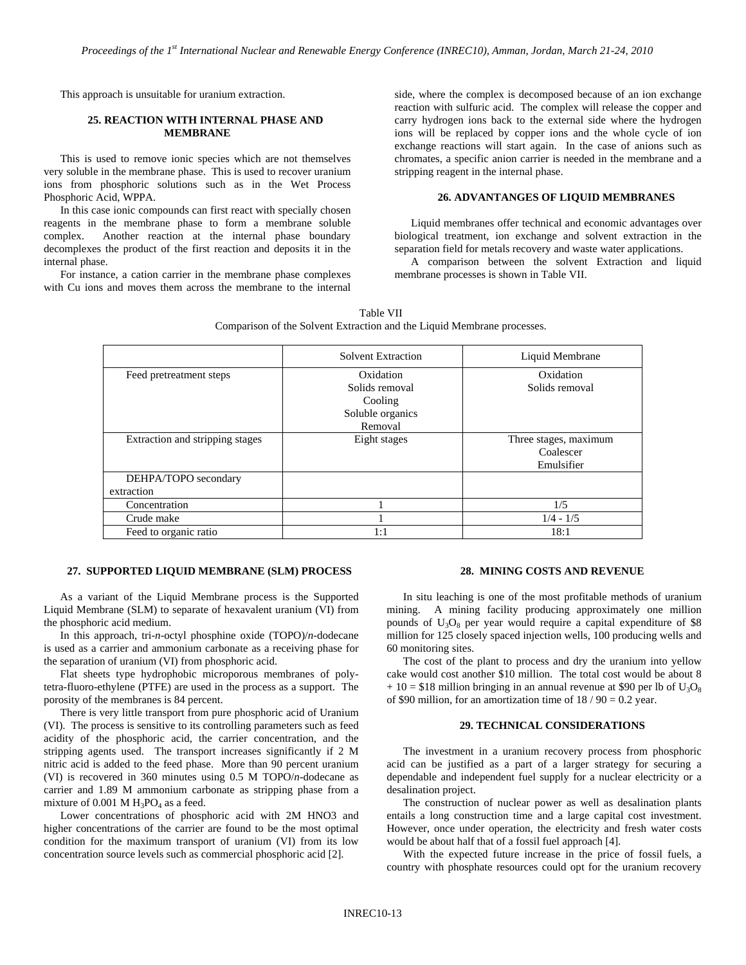This approach is unsuitable for uranium extraction.

## **25. REACTION WITH INTERNAL PHASE AND MEMBRANE**

This is used to remove ionic species which are not themselves very soluble in the membrane phase. This is used to recover uranium ions from phosphoric solutions such as in the Wet Process Phosphoric Acid, WPPA.

In this case ionic compounds can first react with specially chosen reagents in the membrane phase to form a membrane soluble complex. Another reaction at the internal phase boundary decomplexes the product of the first reaction and deposits it in the internal phase.

For instance, a cation carrier in the membrane phase complexes with Cu ions and moves them across the membrane to the internal side, where the complex is decomposed because of an ion exchange reaction with sulfuric acid. The complex will release the copper and carry hydrogen ions back to the external side where the hydrogen ions will be replaced by copper ions and the whole cycle of ion exchange reactions will start again. In the case of anions such as chromates, a specific anion carrier is needed in the membrane and a stripping reagent in the internal phase.

## **26. ADVANTANGES OF LIQUID MEMBRANES**

Liquid membranes offer technical and economic advantages over biological treatment, ion exchange and solvent extraction in the separation field for metals recovery and waste water applications.

A comparison between the solvent Extraction and liquid membrane processes is shown in Table VII.

|                                 | Comparison of the Solvent Extraction and the Liquid Membrane processes. |                       |
|---------------------------------|-------------------------------------------------------------------------|-----------------------|
|                                 | Solvent Extraction                                                      | Liquid Membrane       |
| Feed pretreatment steps         | Oxidation                                                               | Oxidation             |
|                                 | Solids removal                                                          | Solids removal        |
|                                 | Cooling                                                                 |                       |
|                                 | Soluble organics                                                        |                       |
|                                 | Removal                                                                 |                       |
| Extraction and stripping stages | Eight stages                                                            | Three stages, maximum |
|                                 |                                                                         | Coalescer             |
|                                 |                                                                         | Emulsifier            |
| DEHPA/TOPO secondary            |                                                                         |                       |

Concentration 1 1/5 Crude make  $1/4 - 1/5$ Feed to organic ratio  $1:1$  18:1 18:1 18:1

Table VII

# **27. SUPPORTED LIQUID MEMBRANE (SLM) PROCESS**

As a variant of the Liquid Membrane process is the Supported Liquid Membrane (SLM) to separate of hexavalent uranium (VI) from the phosphoric acid medium.

extraction

In this approach, tri-*n*-octyl phosphine oxide (TOPO)/*n*-dodecane is used as a carrier and ammonium carbonate as a receiving phase for the separation of uranium (VI) from phosphoric acid.

Flat sheets type hydrophobic microporous membranes of polytetra-fluoro-ethylene (PTFE) are used in the process as a support. The porosity of the membranes is 84 percent.

There is very little transport from pure phosphoric acid of Uranium (VI). The process is sensitive to its controlling parameters such as feed acidity of the phosphoric acid, the carrier concentration, and the stripping agents used. The transport increases significantly if 2 M nitric acid is added to the feed phase. More than 90 percent uranium (VI) is recovered in 360 minutes using 0.5 M TOPO/*n*-dodecane as carrier and 1.89 M ammonium carbonate as stripping phase from a mixture of  $0.001$  M  $H_3PO_4$  as a feed.

Lower concentrations of phosphoric acid with 2M HNO3 and higher concentrations of the carrier are found to be the most optimal condition for the maximum transport of uranium (VI) from its low concentration source levels such as commercial phosphoric acid [2].

#### **28. MINING COSTS AND REVENUE**

In situ leaching is one of the most profitable methods of uranium mining. A mining facility producing approximately one million pounds of  $U_3O_8$  per year would require a capital expenditure of \$8 million for 125 closely spaced injection wells, 100 producing wells and 60 monitoring sites.

The cost of the plant to process and dry the uranium into yellow cake would cost another \$10 million. The total cost would be about 8  $+ 10 = $18$  million bringing in an annual revenue at \$90 per lb of  $U_3O_8$ of \$90 million, for an amortization time of  $18 / 90 = 0.2$  year.

#### **29. TECHNICAL CONSIDERATIONS**

The investment in a uranium recovery process from phosphoric acid can be justified as a part of a larger strategy for securing a dependable and independent fuel supply for a nuclear electricity or a desalination project.

The construction of nuclear power as well as desalination plants entails a long construction time and a large capital cost investment. However, once under operation, the electricity and fresh water costs would be about half that of a fossil fuel approach [4].

With the expected future increase in the price of fossil fuels, a country with phosphate resources could opt for the uranium recovery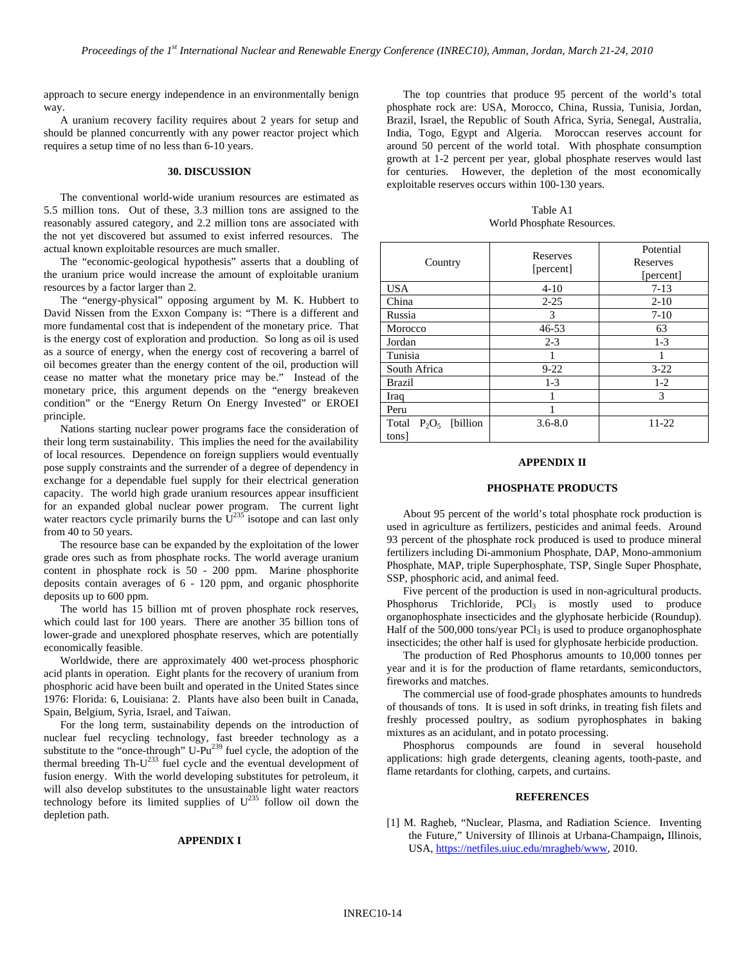approach to secure energy independence in an environmentally benign way.

A uranium recovery facility requires about 2 years for setup and should be planned concurrently with any power reactor project which requires a setup time of no less than 6-10 years.

## **30. DISCUSSION**

The conventional world-wide uranium resources are estimated as 5.5 million tons. Out of these, 3.3 million tons are assigned to the reasonably assured category, and 2.2 million tons are associated with the not yet discovered but assumed to exist inferred resources. The actual known exploitable resources are much smaller.

The "economic-geological hypothesis" asserts that a doubling of the uranium price would increase the amount of exploitable uranium resources by a factor larger than 2.

The "energy-physical" opposing argument by M. K. Hubbert to David Nissen from the Exxon Company is: "There is a different and more fundamental cost that is independent of the monetary price. That is the energy cost of exploration and production. So long as oil is used as a source of energy, when the energy cost of recovering a barrel of oil becomes greater than the energy content of the oil, production will cease no matter what the monetary price may be." Instead of the monetary price, this argument depends on the "energy breakeven condition" or the "Energy Return On Energy Invested" or EROEI principle.

Nations starting nuclear power programs face the consideration of their long term sustainability. This implies the need for the availability of local resources. Dependence on foreign suppliers would eventually pose supply constraints and the surrender of a degree of dependency in exchange for a dependable fuel supply for their electrical generation capacity. The world high grade uranium resources appear insufficient for an expanded global nuclear power program. The current light water reactors cycle primarily burns the  $U^{235}$  isotope and can last only from 40 to 50 years.

The resource base can be expanded by the exploitation of the lower grade ores such as from phosphate rocks. The world average uranium content in phosphate rock is 50 - 200 ppm. Marine phosphorite deposits contain averages of 6 - 120 ppm, and organic phosphorite deposits up to 600 ppm.

The world has 15 billion mt of proven phosphate rock reserves, which could last for 100 years. There are another 35 billion tons of lower-grade and unexplored phosphate reserves, which are potentially economically feasible.

Worldwide, there are approximately 400 wet-process phosphoric acid plants in operation. Eight plants for the recovery of uranium from phosphoric acid have been built and operated in the United States since 1976: Florida: 6, Louisiana: 2. Plants have also been built in Canada, Spain, Belgium, Syria, Israel, and Taiwan.

For the long term, sustainability depends on the introduction of nuclear fuel recycling technology, fast breeder technology as a substitute to the "once-through" U-Pu<sup>239</sup> fuel cycle, the adoption of the thermal breeding  $Th-U^{233}$  fuel cycle and the eventual development of fusion energy. With the world developing substitutes for petroleum, it will also develop substitutes to the unsustainable light water reactors technology before its limited supplies of  $U^{235}$  follow oil down the depletion path.

#### **APPENDIX I**

The top countries that produce 95 percent of the world's total phosphate rock are: USA, Morocco, China, Russia, Tunisia, Jordan, Brazil, Israel, the Republic of South Africa, Syria, Senegal, Australia, India, Togo, Egypt and Algeria. Moroccan reserves account for around 50 percent of the world total. With phosphate consumption growth at 1-2 percent per year, global phosphate reserves would last for centuries. However, the depletion of the most economically exploitable reserves occurs within 100-130 years.

Table A1 World Phosphate Resources.

| Country                                 | Reserves<br>[percent] | Potential<br>Reserves<br>[percent] |
|-----------------------------------------|-----------------------|------------------------------------|
| <b>USA</b>                              | $4 - 10$              | $7-13$                             |
| China                                   | $2 - 25$              | $2 - 10$                           |
| Russia                                  | 3                     | $7-10$                             |
| Morocco                                 | $46 - 53$             | 63                                 |
| Jordan                                  | $2 - 3$               | $1-3$                              |
| Tunisia                                 |                       |                                    |
| South Africa                            | $9 - 22$              | $3 - 22$                           |
| <b>Brazil</b>                           | $1 - 3$               | $1-2$                              |
| Iraq                                    |                       | 3                                  |
| Peru                                    |                       |                                    |
| [billion]<br>$P_2O_5$<br>Total<br>tons] | $3.6 - 8.0$           | 11-22                              |

#### **APPENDIX II**

#### **PHOSPHATE PRODUCTS**

About 95 percent of the world's total phosphate rock production is used in agriculture as fertilizers, pesticides and animal feeds. Around 93 percent of the phosphate rock produced is used to produce mineral fertilizers including Di-ammonium Phosphate, DAP, Mono-ammonium Phosphate, MAP, triple Superphosphate, TSP, Single Super Phosphate, SSP, phosphoric acid, and animal feed.

Five percent of the production is used in non-agricultural products. Phosphorus Trichloride, PCl<sub>3</sub> is mostly used to produce organophosphate insecticides and the glyphosate herbicide (Roundup). Half of the  $500,000$  tons/year  $PCl<sub>3</sub>$  is used to produce organophosphate insecticides; the other half is used for glyphosate herbicide production.

The production of Red Phosphorus amounts to 10,000 tonnes per year and it is for the production of flame retardants, semiconductors, fireworks and matches.

The commercial use of food-grade phosphates amounts to hundreds of thousands of tons. It is used in soft drinks, in treating fish filets and freshly processed poultry, as sodium pyrophosphates in baking mixtures as an acidulant, and in potato processing.

Phosphorus compounds are found in several household applications: high grade detergents, cleaning agents, tooth-paste, and flame retardants for clothing, carpets, and curtains.

#### **REFERENCES**

[1] M. Ragheb, "Nuclear, Plasma, and Radiation Science. Inventing the Future," University of Illinois at Urbana-Champaign**,** Illinois, USA, https://netfiles.uiuc.edu/mragheb/www, 2010.